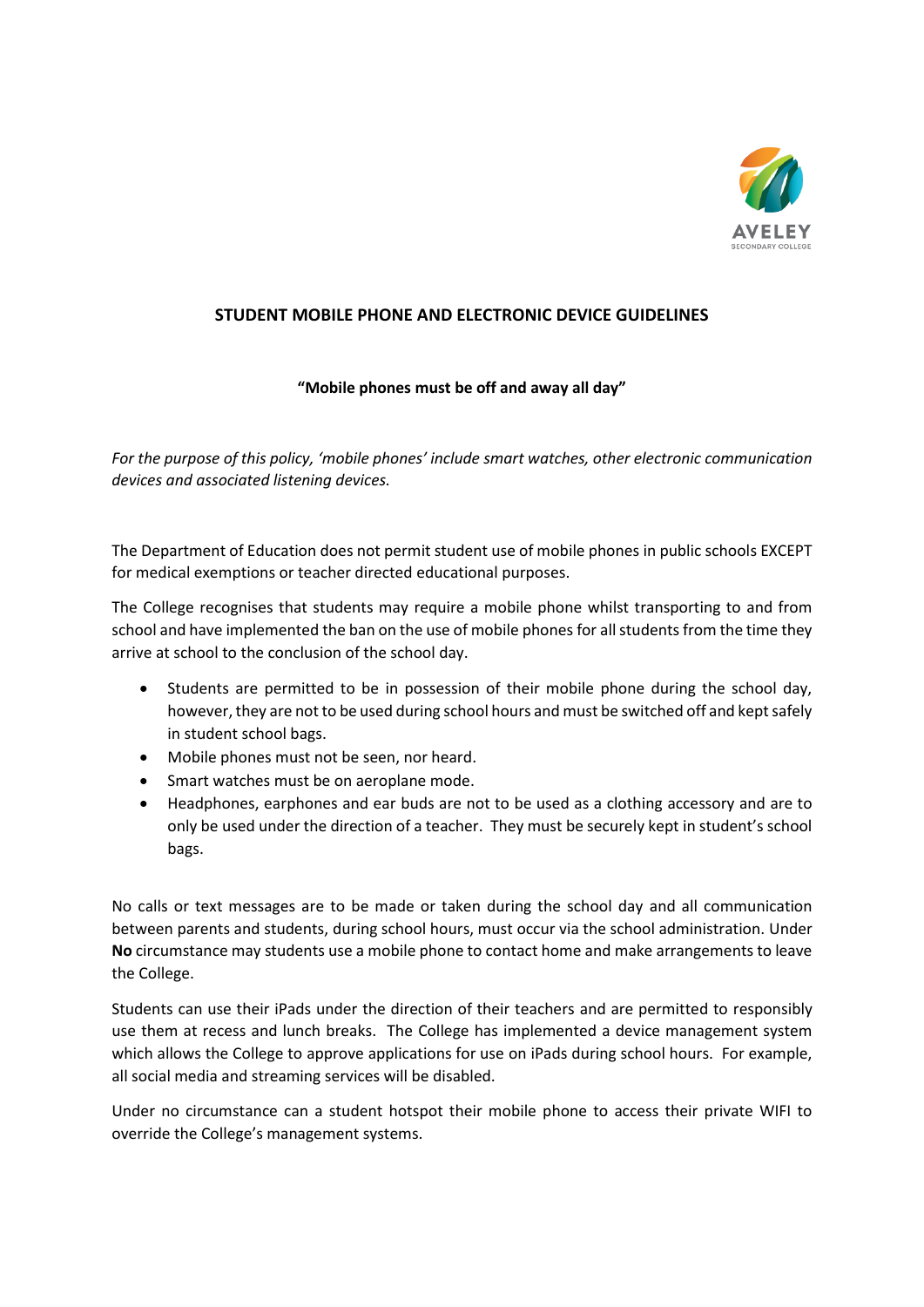

## **STUDENT MOBILE PHONE AND ELECTRONIC DEVICE GUIDELINES**

## **"Mobile phones must be off and away all day"**

*For the purpose of this policy, 'mobile phones' include smart watches, other electronic communication devices and associated listening devices.*

The Department of Education does not permit student use of mobile phones in public schools EXCEPT for medical exemptions or teacher directed educational purposes.

The College recognises that students may require a mobile phone whilst transporting to and from school and have implemented the ban on the use of mobile phones for all students from the time they arrive at school to the conclusion of the school day.

- Students are permitted to be in possession of their mobile phone during the school day, however, they are not to be used during school hours and must be switched off and kept safely in student school bags.
- Mobile phones must not be seen, nor heard.
- Smart watches must be on aeroplane mode.
- Headphones, earphones and ear buds are not to be used as a clothing accessory and are to only be used under the direction of a teacher. They must be securely kept in student's school bags.

No calls or text messages are to be made or taken during the school day and all communication between parents and students, during school hours, must occur via the school administration. Under **No** circumstance may students use a mobile phone to contact home and make arrangements to leave the College.

Students can use their iPads under the direction of their teachers and are permitted to responsibly use them at recess and lunch breaks. The College has implemented a device management system which allows the College to approve applications for use on iPads during school hours. For example, all social media and streaming services will be disabled.

Under no circumstance can a student hotspot their mobile phone to access their private WIFI to override the College's management systems.